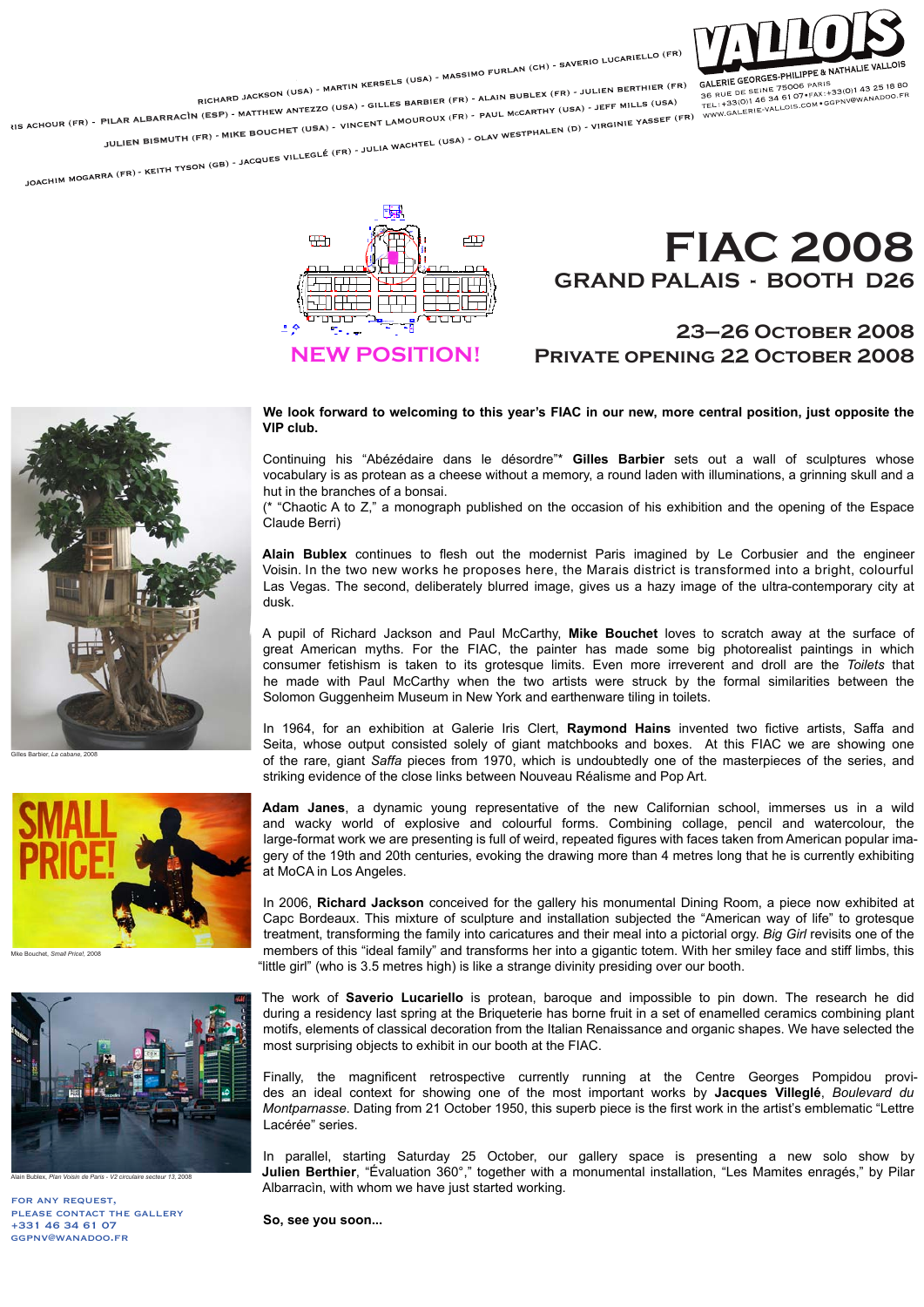

RICHARD JACKSON (USA) - MARTIN KERSELS (USA) - MASSIMO FURLAN (CH) - SAVERIO LUCARIELLO (FR)<br>RICHARD JACKSON (USA) - MARTIN KERSELS (USA) - MASSIMO FURLAN BUBLEX (FR) - JULIEN BERTHIER (FR)<br>L. SARTHY (USA) - JEFF MILLS (US

RICHAN SALER (FR) - PILAR ALBARRACÌN (ESP) - MATTHEW ANTEZZO (USA) - GILLES BARBIER (FR) - ALAIN BUBLEX (FR) - JULIEN BERTHIER (FR) GALERIE GEORGES-PHILIPPE & NATHALIE VA JULIEN BISMUTH (FR) - MIKE BOUCHET (USA) - VINCENT LAMOUROUX (FR) - PAUL McCARTHY (USA) - JEFF MILLS (USA)<br>JOACHIM MOGARRA (FR) - KEITH TYSON (GB) - JACQUES VILLEGLÉ (FR) - JULIA WACHTEL (USA) - OLAV WESTPHALEN (D) - VIRGI UHLETHE TEINE 75006 PART.<br>36 RUE DE SEINE 75006 PART.+33(0)143 2518<br>TEL:+33(0)146 34 61 07\*FAX:+33(0)148 200<br>WWW.GALERIE-VALLOIS.COM\*GGPNV@WANADOO

**TH** 中县 **NEW POSITION!**

## **FIAC 2008 GRAND PALAIS - BOOTH D26**

## **23–26 October 2008 Private opening 22 October 2008**



Gilles Barbier, *La cabane,* 2008



Mke Bouchet, *Small Price!,* 2008



Alain Bublex, *Plan Voisin de Paris - V2 circulaire secteur 13,* 2008

for any request, please contact the gallery +331 46 34 61 07 ggpnv@wanadoo.fr

**We look forward to welcoming to this year's FIAC in our new, more central position, just opposite the VIP club.** 

Continuing his "Abézédaire dans le désordre"\* **Gilles Barbier** sets out a wall of sculptures whose vocabulary is as protean as a cheese without a memory, a round laden with illuminations, a grinning skull and a hut in the branches of a bonsai.

(\* "Chaotic A to Z," a monograph published on the occasion of his exhibition and the opening of the Espace Claude Berri)

**Alain Bublex** continues to flesh out the modernist Paris imagined by Le Corbusier and the engineer Voisin. In the two new works he proposes here, the Marais district is transformed into a bright, colourful Las Vegas. The second, deliberately blurred image, gives us a hazy image of the ultra-contemporary city at dusk.

A pupil of Richard Jackson and Paul McCarthy, **Mike Bouchet** loves to scratch away at the surface of great American myths. For the FIAC, the painter has made some big photorealist paintings in which consumer fetishism is taken to its grotesque limits. Even more irreverent and droll are the *Toilets* that he made with Paul McCarthy when the two artists were struck by the formal similarities between the Solomon Guggenheim Museum in New York and earthenware tiling in toilets.

In 1964, for an exhibition at Galerie Iris Clert, **Raymond Hains** invented two fictive artists, Saffa and Seita, whose output consisted solely of giant matchbooks and boxes. At this FIAC we are showing one of the rare, giant *Saffa* pieces from 1970, which is undoubtedly one of the masterpieces of the series, and striking evidence of the close links between Nouveau Réalisme and Pop Art.

**Adam Janes**, a dynamic young representative of the new Californian school, immerses us in a wild and wacky world of explosive and colourful forms. Combining collage, pencil and watercolour, the large-format work we are presenting is full of weird, repeated figures with faces taken from American popular imagery of the 19th and 20th centuries, evoking the drawing more than 4 metres long that he is currently exhibiting at MoCA in Los Angeles.

In 2006, **Richard Jackson** conceived for the gallery his monumental Dining Room, a piece now exhibited at Capc Bordeaux. This mixture of sculpture and installation subjected the "American way of life" to grotesque treatment, transforming the family into caricatures and their meal into a pictorial orgy. *Big Girl* revisits one of the members of this "ideal family" and transforms her into a gigantic totem. With her smiley face and stiff limbs, this "little girl" (who is 3.5 metres high) is like a strange divinity presiding over our booth.

The work of **Saverio Lucariello** is protean, baroque and impossible to pin down. The research he did during a residency last spring at the Briqueterie has borne fruit in a set of enamelled ceramics combining plant motifs, elements of classical decoration from the Italian Renaissance and organic shapes. We have selected the most surprising objects to exhibit in our booth at the FIAC.

Finally, the magnificent retrospective currently running at the Centre Georges Pompidou provides an ideal context for showing one of the most important works by **Jacques Villeglé**, *Boulevard du Montparnasse*. Dating from 21 October 1950, this superb piece is the first work in the artist's emblematic "Lettre Lacérée" series.

In parallel, starting Saturday 25 October, our gallery space is presenting a new solo show by **Julien Berthier**, "Évaluation 360°," together with a monumental installation, "Les Mamites enragés," by Pilar Albarracìn, with whom we have just started working.

**So, see you soon...**